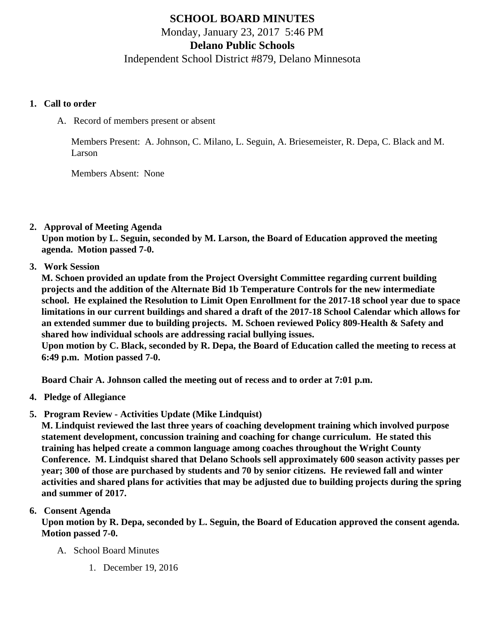# SCHOOL BOARD MINUTES Monday, January 23, 2017 5:46 PM Delano Public Schools Independent School District #879, Delano Minnesota

- 1. Call to order
	- A. Record of members present or absent

Members Present: A. Johnson, C. Milano, L. Seguin, A. Briesemeister, R. Depa, C. Black and M. Larson

Members Absent: None

2. Approval of Meeting Agenda

Upon motion by L. Seguin, seconded by M. Larson, the Board of Education approved the meeting agenda. Motion passed 7-0.

3. Work Session

M. Schoen provided an update from the Project Oversight Committee regarding current building projects and the addition of the Alternate Bid 1b Temperature Controls for the new intermediate school. He explained the Resolution to Limit Open Enrollment for the 2017-18 school year due to space limitations in our current buildings and shared a draft of the 2017-18 School Calendar which allows for an extended summer due to building projects. M. Schoen reviewed Policy 809-Health & Safety and shared how individual schools are addressing racial bullying issues.

Upon motion by C. Black, seconded by R. Depa, the Board of Education called the meeting to recess at 6:49 p.m. Motion passed 7-0.

Board Chair A. Johnson called the meeting out of recess and to order at 7:01 p.m.

- 4. Pledge of Allegiance
- 5. Program Review Activities Update (Mike Lindquist)

M. Lindquist reviewed the last three years of coaching development training which involved purpose statement development, concussion training and coaching for change curriculum. He stated this training has helped create a common language among coaches throughout the Wright County Conference. M. Lindquist shared that Delano Schools sell approximately 600 season activity passes per year; 300 of those are purchased by students and 70 by senior citizens. He reviewed fall and winter activities and shared plans for activities that may be adjusted due to building projects during the spring and summer of 2017.

### 6. Consent Agenda

Upon motion by R. Depa, seconded by L. Seguin, the Board of Education approved the consent agenda. Motion passed 7-0.

- A. School Board Minutes
	- 1. [December 19, 201](/docs/district/District_Forms/School_Board_Minutes_12.19.16.pdf)6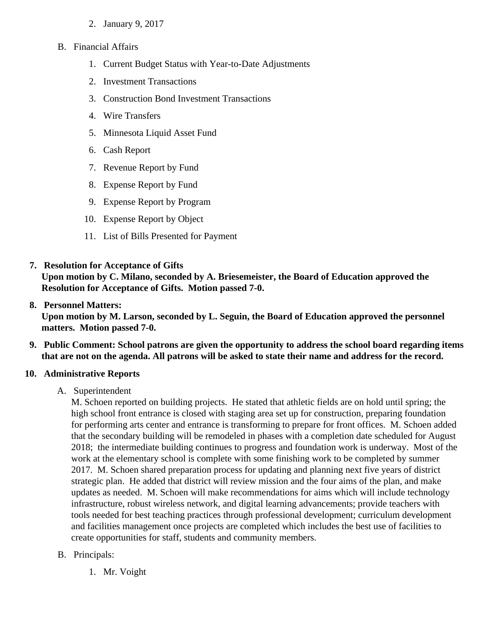- 2. [January 9, 201](/docs/district/District_Forms/School_Board_Minutes_1.9.17.pdf)7
- B. Financial Affairs
	- 1. [Current Budget Status with Year-to-Date Adjustm](/docs/district/Business_Office/Budget_Report_Jan_2017.pdf)ents
	- 2. [Investment Transactio](/docs/district/Business_Office/December_2016_Investment_Schedule.pdf)ns
	- 3. [Construction Bond Investment Transacti](/docs/district/Business_Office/Bond_Investment_schedule_Dec_16.pdf)ons
	- 4. [Wire Transfer](/docs/district/Business_Office/December_2016_Wire_Transfer.pdf)s
	- 5. [Minnesota Liquid Asset Fun](/docs/district/Business_Office/December_2016_LAF.pdf)d
	- 6. [Cash Repo](/docs/district/Business_Office/December_2016_Cash_Report.pdf)rt
	- 7. [Revenue Report by Fu](/docs/district/Business_Office/SCHOOL_BOARD_REPORTS_-_REVENUE_BY_FUND_TOTAL__(Date__6_2017).pdf)nd
	- 8. [Expense Report by Fu](/docs/district/Business_Office/SCHOOL_BOARD_REPORTS_-_EXP_BY_FUND_TOTAL__(Date__6_2017).pdf)nd
	- 9. [Expense Report by Progra](/docs/district/Business_Office/SCHOOL_BOARD_REPORTS_-_EXPENDITURES_BY_PROGRAM__(Date__6_2017).pdf)m
	- 10. [Expense Report by Obje](/docs/district/Business_Office/SCHOOL_BOARD_REPORTS_-_EXPENDITURES_BY_OBJECT__(Date__6_2017).pdf)ct
	- 11. [List of Bills Presented for Payme](/docs/district/Business_Office/DETAIL_OF_MONTHLY_BILLS_PRESENTED_FOR_PAYMENT_(Dates__12_01_16_-_01_31_17).pdf)nt
- 7. [Resolution for Acceptance of Gifts](/docs/district/Business_Office/Resolution_for_Acceptance_of_Gifts_1.23.17.pdf)

Upon motion by C. Milano, seconded by A. Briesemeister, the Board of Education approved the Resolution for Acceptance of Gifts. Motion passed 7-0.

#### 8. [Personnel Matters:](/docs/district/Business_Office/01.23.17.pdf)

Upon motion by M. Larson, seconded by L. Seguin, the Board of Education approved the personnel matters. Motion passed 7-0.

- 9. Public Comment: School patrons are given the opportunity to address the school board regarding items that are not on the agenda. All patrons will be asked to state their name and address for the record.
- 10. Administrative Reports
	- A. Superintendent

M. Schoen reported on building projects. He stated that athletic fields are on hold until spring; the high school front entrance is closed with staging area set up for construction, preparing foundation for performing arts center and entrance is transforming to prepare for front offices. M. Schoen add that the secondary building will be remodeled in phases with a completion date scheduled for Augu 2018; the intermediate building continues to progress and foundation work is underway. Most of the work at the elementary school is complete with some finishing work to be completed by summer 2017. M. Schoen shared preparation process for updating and planning next five years of district strategic plan. He added that district will review mission and the four aims of the plan, and make updates as needed. M. Schoen will make recommendations for aims which will include technology infrastructure, robust wireless network, and digital learning advancements; provide teachers with tools needed for best teaching practices through professional development; curriculum development and facilities management once projects are completed which includes the best use of facilities to create opportunities for staff, students and community members.

- B. Principals:
	- 1. Mr. Voight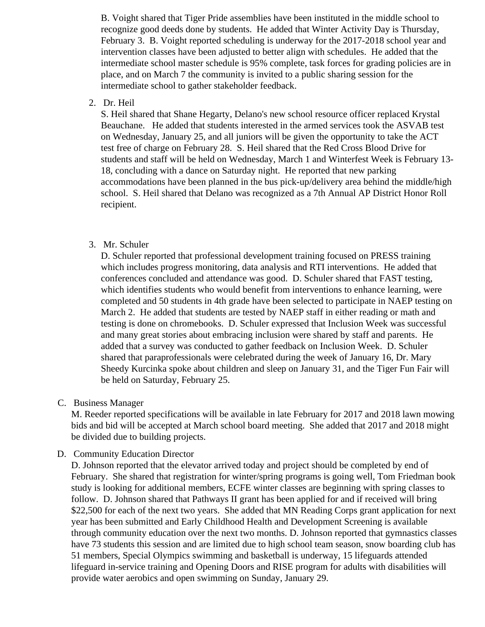B. Voight shared that Tiger Pride assemblies have been instituted in the middle school to recognize good deeds done by students. He added that Winter Activity Day is Thursday, February 3. B. Voight reported scheduling is underway for the 2017-2018 school year and intervention classes have been adjusted to better align with schedules. He added that the intermediate school master schedule is 95% complete, task forces for grading policies are in place, and on March 7 the community is invited to a public sharing session for the intermediate school to gather stakeholder feedback.

2. Dr. Heil

S. Heil shared that Shane Hegarty, Delano's new school resource officer replaced Krystal Beauchane. He added that students interested in the armed services took the ASVAB test on Wednesday, January 25, and all juniors will be given the opportunity to take the ACT test free of charge on February 28. S. Heil shared that the Red Cross Blood Drive for students and staff will be held on Wednesday, March 1 and Winterfest Week is February 13- 18, concluding with a dance on Saturday night. He reported that new parking accommodations have been planned in the bus pick-up/delivery area behind the middle/high school. S. Heil shared that Delano was recognized as a 7th Annual AP District Honor Roll recipient.

3. Mr. Schuler

D. Schuler reported that professional development training focused on PRESS training which includes progress monitoring, data analysis and RTI interventions. He added that conferences concluded and attendance was good. D. Schuler shared that FAST testing, which identifies students who would benefit from interventions to enhance learning, were completed and 50 students in 4th grade have been selected to participate in NAEP testing on March 2. He added that students are tested by NAEP staff in either reading or math and testing is done on chromebooks. D. Schuler expressed that Inclusion Week was successful and many great stories about embracing inclusion were shared by staff and parents. He added that a survey was conducted to gather feedback on Inclusion Week. D. Schuler shared that paraprofessionals were celebrated during the week of January 16, Dr. Mary Sheedy Kurcinka spoke about children and sleep on January 31, and the Tiger Fun Fair will be held on Saturday, February 25.

C. Business Manager

M. Reeder reported specifications will be available in late February for 2017 and 2018 lawn mowing bids and bid will be accepted at March school board meeting. She added that 2017 and 2018 might be divided due to building projects.

D. Community Education Director

D. Johnson reported that the elevator arrived today and project should be completed by end of February. She shared that registration for winter/spring programs is going well, Tom Friedman book study is looking for additional members, ECFE winter classes are beginning with spring classes to follow. D. Johnson shared that Pathways II grant has been applied for and if received will bring \$22,500 for each of the next two years. She added that MN Reading Corps grant application for next year has been submitted and Early Childhood Health and Development Screening is available through community education over the next two months. D. Johnson reported that gymnastics classes have 73 students this session and are limited due to high school team season, snow boarding club has 51 members, Special Olympics swimming and basketball is underway, 15 lifeguards attended lifeguard in-service training and Opening Doors and RISE program for adults with disabilities will provide water aerobics and open swimming on Sunday, January 29.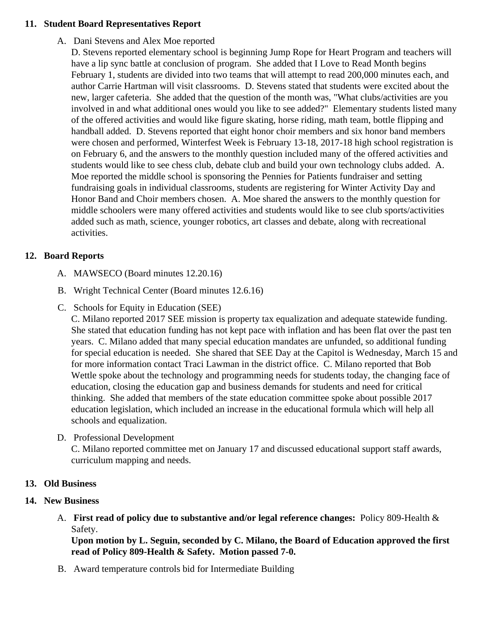#### 11. Student Board Representatives Report

A. Dani Stevens and Alex Moe reported

D. Stevens reported elementary school is beginning Jump Rope for Heart Program and teachers w have a lip sync battle at conclusion of program. She added that I Love to Read Month begins February 1, students are divided into two teams that will attempt to read 200,000 minutes each, an author Carrie Hartman will visit classrooms. D. Stevens stated that students were excited about th new, larger cafeteria. She added that the question of the month was, "What clubs/activities are you involved in and what additional ones would you like to see added?" Elementary students listed ma of the offered activities and would like figure skating, horse riding, math team, bottle flipping and handball added. D. Stevens reported that eight honor choir members and six honor band member were chosen and performed, Winterfest Week is February 13-18, 2017-18 high school registration on February 6, and the answers to the monthly question included many of the offered activities and students would like to see chess club, debate club and build your own technology clubs added. A. Moe reported the middle school is sponsoring the Pennies for Patients fundraiser and setting fundraising goals in individual classrooms, students are registering for Winter Activity Day and Honor Band and Choir members chosen. A. Moe shared the answers to the monthly question for middle schoolers were many offered activities and students would like to see club sports/activities added such as math, science, younger robotics, art classes and debate, along with recreational activities.

## 12. Board Reports

- A. MAWSECO Board minutes 12.20.16
- B. Wright Technical Center Board minutes 12.6.16
- C. Schools for Equity in Education (SEE)

C. Milano reported 2017 SEE mission is property tax equalization and adequate statewide funding. She stated that education funding has not kept pace with inflation and has been flat over the past t years. C. Milano added that many special education mandates are unfunded, so additional funding for special education is needed. She shared that SEE Day at the Capitol is Wednesday, March 15 for more information contact Traci Lawman in the district office. C. Milano reported that Bob Wettle spoke about the technology and programming needs for students today, the changing face education, closing the education gap and business demands for students and need for critical thinking. She added that members of the state education committee spoke about possible 2017 education legislation, which included an increase in the educational formula which will help all schools and equalization.

D. Professional Development

C. Milano reported committee met on January 17 and discussed educational support staff awards, curriculum mapping and needs.

- 13. Old Business
- 14. New Business
	- A. First read of policy due to substantive and/or legal reference change. Policy 809-Health & Safety.

Upon motion by L. Seguin, seconded by C. Milano, the Board of Education approved the first read of Policy 809-Health & Safety. Motion passed 7-0.

B. Award temperature controls bid for Intermediate Building